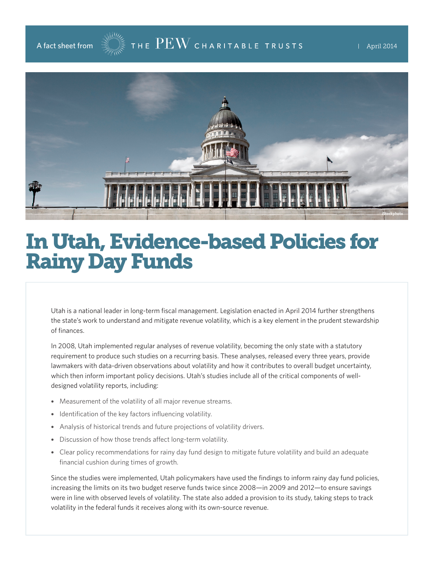

## In Utah, Evidence-based Policies for Rainy Day Funds

Utah is a national leader in long-term fiscal management. Legislation enacted in April 2014 further strengthens the state's work to understand and mitigate revenue volatility, which is a key element in the prudent stewardship of finances.

In 2008, Utah implemented regular analyses of revenue volatility, becoming the only state with a statutory requirement to produce such studies on a recurring basis. These analyses, released every three years, provide lawmakers with data-driven observations about volatility and how it contributes to overall budget uncertainty, which then inform important policy decisions. Utah's studies include all of the critical components of welldesigned volatility reports, including:

- Measurement of the volatility of all major revenue streams.
- Identification of the key factors influencing volatility.
- Analysis of historical trends and future projections of volatility drivers.
- Discussion of how those trends affect long-term volatility.
- Clear policy recommendations for rainy day fund design to mitigate future volatility and build an adequate financial cushion during times of growth.

Since the studies were implemented, Utah policymakers have used the findings to inform rainy day fund policies, increasing the limits on its two budget reserve funds twice since 2008—in 2009 and 2012—to ensure savings were in line with observed levels of volatility. The state also added a provision to its study, taking steps to track volatility in the federal funds it receives along with its own-source revenue.